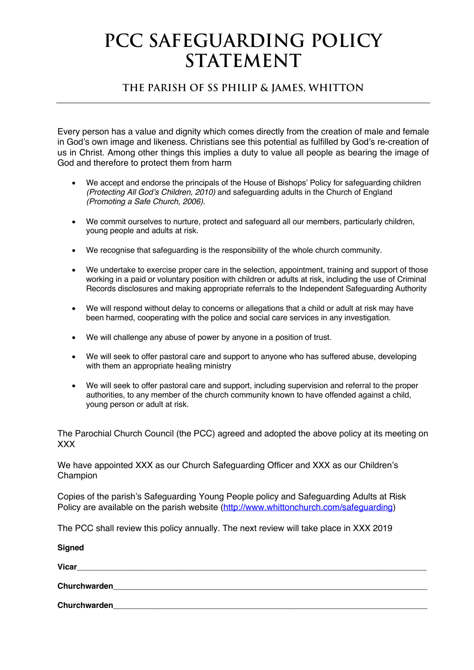## **PCC Safeguarding Policy STATEMENT**

## **The Parish of Ss Philip & James, Whitton**

Every person has a value and dignity which comes directly from the creation of male and female in God's own image and likeness. Christians see this potential as fulfilled by God's re-creation of us in Christ. Among other things this implies a duty to value all people as bearing the image of God and therefore to protect them from harm

- We accept and endorse the principals of the House of Bishops' Policy for safeguarding children *(Protecting All God's Children, 2010)* and safeguarding adults in the Church of England *(Promoting a Safe Church, 2006).*
- We commit ourselves to nurture, protect and safeguard all our members, particularly children, young people and adults at risk.
- We recognise that safeguarding is the responsibility of the whole church community.
- We undertake to exercise proper care in the selection, appointment, training and support of those working in a paid or voluntary position with children or adults at risk, including the use of Criminal Records disclosures and making appropriate referrals to the Independent Safeguarding Authority
- We will respond without delay to concerns or allegations that a child or adult at risk may have been harmed, cooperating with the police and social care services in any investigation.
- We will challenge any abuse of power by anyone in a position of trust.
- We will seek to offer pastoral care and support to anyone who has suffered abuse, developing with them an appropriate healing ministry
- We will seek to offer pastoral care and support, including supervision and referral to the proper authorities, to any member of the church community known to have offended against a child, young person or adult at risk.

The Parochial Church Council (the PCC) agreed and adopted the above policy at its meeting on XXX

We have appointed XXX as our Church Safeguarding Officer and XXX as our Children's **Champion** 

Copies of the parish's Safeguarding Young People policy and Safeguarding Adults at Risk Policy are available on the parish website (http://www.whittonchurch.com/safeguarding)

The PCC shall review this policy annually. The next review will take place in XXX 2019

**Signed**

| uyuwa        |  |
|--------------|--|
| <b>Vicar</b> |  |
| Churchwarden |  |
| Churchwarden |  |